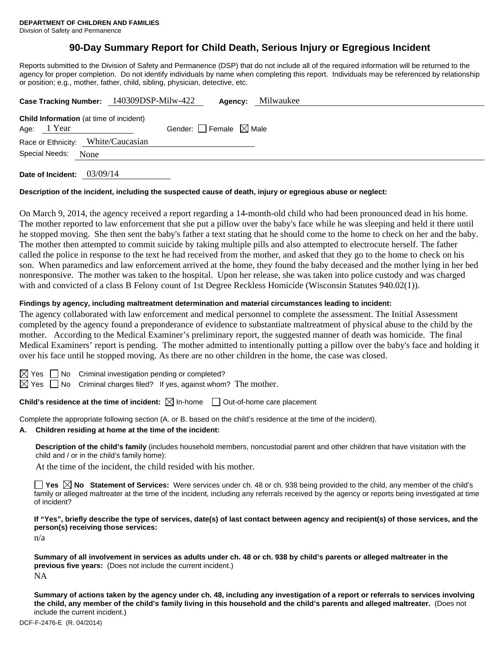# **90-Day Summary Report for Child Death, Serious Injury or Egregious Incident**

Reports submitted to the Division of Safety and Permanence (DSP) that do not include all of the required information will be returned to the agency for proper completion. Do not identify individuals by name when completing this report. Individuals may be referenced by relationship or position; e.g., mother, father, child, sibling, physician, detective, etc.

|                     | Case Tracking Number: 140309DSP-Milw-422       | Agency:                         | Milwaukee |
|---------------------|------------------------------------------------|---------------------------------|-----------|
|                     | <b>Child Information</b> (at time of incident) |                                 |           |
| Age: 1 Year         |                                                | Gender: Female $\boxtimes$ Male |           |
|                     | Race or Ethnicity: White/Caucasian             |                                 |           |
| Special Needs: None |                                                |                                 |           |
|                     |                                                |                                 |           |

**Date of Incident:** 03/09/14

## **Description of the incident, including the suspected cause of death, injury or egregious abuse or neglect:**

On March 9, 2014, the agency received a report regarding a 14-month-old child who had been pronounced dead in his home. The mother reported to law enforcement that she put a pillow over the baby's face while he was sleeping and held it there until he stopped moving. She then sent the baby's father a text stating that he should come to the home to check on her and the baby. The mother then attempted to commit suicide by taking multiple pills and also attempted to electrocute herself. The father called the police in response to the text he had received from the mother, and asked that they go to the home to check on his son. When paramedics and law enforcement arrived at the home, they found the baby deceased and the mother lying in her bed nonresponsive. The mother was taken to the hospital. Upon her release, she was taken into police custody and was charged with and convicted of a class B Felony count of 1st Degree Reckless Homicide (Wisconsin Statutes 940.02(1)).

## **Findings by agency, including maltreatment determination and material circumstances leading to incident:**

The agency collaborated with law enforcement and medical personnel to complete the assessment. The Initial Assessment completed by the agency found a preponderance of evidence to substantiate maltreatment of physical abuse to the child by the mother. According to the Medical Examiner's preliminary report, the suggested manner of death was homicide. The final Medical Examiners' report is pending. The mother admitted to intentionally putting a pillow over the baby's face and holding it over his face until he stopped moving. As there are no other children in the home, the case was closed.

 $\Box$  No Criminal investigation pending or completed?

 $\boxtimes$  Yes  $\Box$  No Criminal charges filed? If yes, against whom? The mother.

**Child's residence at the time of incident:**  $\boxtimes$  In-home  $\Box$  Out-of-home care placement

Complete the appropriate following section (A. or B. based on the child's residence at the time of the incident).

**A. Children residing at home at the time of the incident:**

**Description of the child's family** (includes household members, noncustodial parent and other children that have visitation with the child and / or in the child's family home):

At the time of the incident, the child resided with his mother.

■ Yes **No** Statement of Services: Were services under ch. 48 or ch. 938 being provided to the child, any member of the child's family or alleged maltreater at the time of the incident, including any referrals received by the agency or reports being investigated at time of incident?

**If "Yes", briefly describe the type of services, date(s) of last contact between agency and recipient(s) of those services, and the person(s) receiving those services:** 

n/a

**Summary of all involvement in services as adults under ch. 48 or ch. 938 by child's parents or alleged maltreater in the previous five years:** (Does not include the current incident.) NA

**Summary of actions taken by the agency under ch. 48, including any investigation of a report or referrals to services involving the child, any member of the child's family living in this household and the child's parents and alleged maltreater.** (Does not include the current incident.)